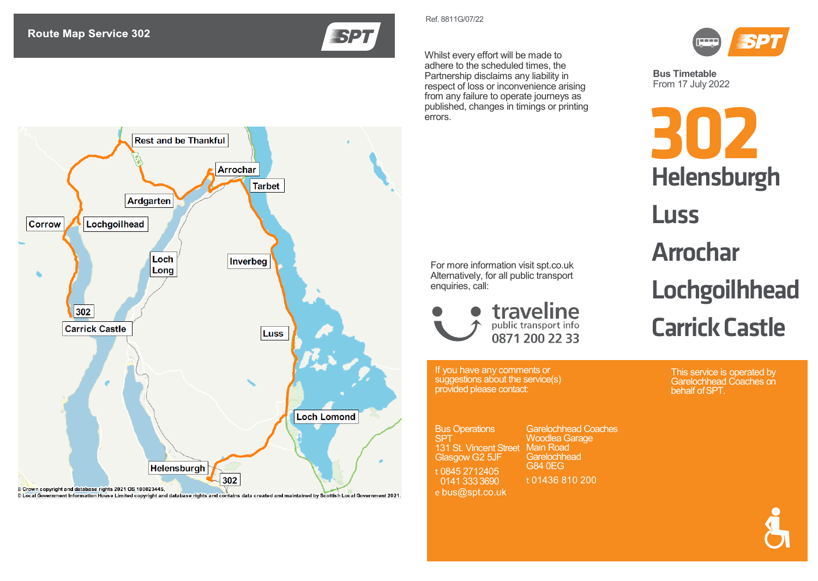Crown copyright and database rights 2021 OS 100023445,

**ESP** 



® Local Government Information House Limited copyright and database rights and contains data created and maintained by Scottish Local Government 2021.

Whilst every effort will be made to adhere to the scheduled times, the Partnership disclaims any liability in respect of loss or inconvenience arising from any failure to operate journeys as published, changes in timings or printing errors.

Ref. 8811G/07/22



**Bus Timetable** From 17 July 2022

**302** Helensburgh Luss Arrochar **Lochgoilhhead** Carrick Castle

> This service is operated by Garelochhead Coaches on behalf ofSPT.

Bus Operations **SPT** 131 St. Vincent Street Glasgow G2 5JF t 0845 2712405 0141 3333690 e [bus@spt.co.uk](mailto:bus@spt.co.uk)

If you have any comments or suggestions about the service(s)

For more information visit spt.co.uk Alternatively, for all public transport

traveline

public transport info

0871 200 22 33

provided please contact:

enquiries, call:

Garelochhead Coaches Woodlea Garage Main Road Garelochhead G84 0EG t 01436 810 200